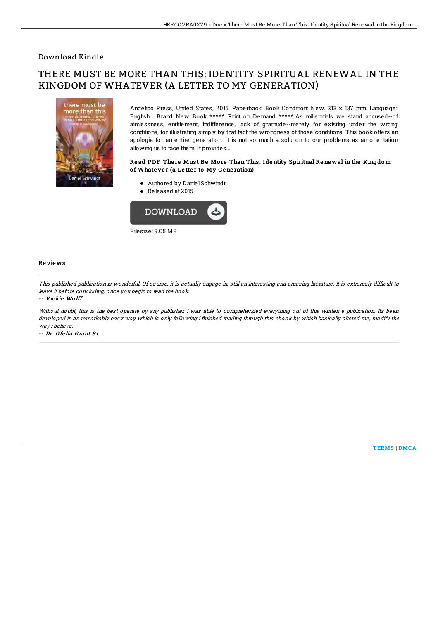### Download Kindle

# THERE MUST BE MORE THAN THIS: IDENTITY SPIRITUAL RENEWAL IN THE KINGDOM OF WHATEVER (A LETTER TO MY GENERATION)



Angelico Press, United States, 2015. Paperback. Book Condition: New. 213 x 137 mm. Language: English . Brand New Book \*\*\*\*\* Print on Demand \*\*\*\*\*.As millennials we stand accused--of aimlessness, entitlement, indifference, lack of gratitude--merely for existing under the wrong conditions, for illustrating simply by that fact the wrongness of those conditions. This book offers an apologia for an entire generation. It is not so much a solution to our problems as an orientation allowing us to face them. It provides...

#### Read PDF There Must Be More Than This: Identity Spiritual Renewal in the Kingdom of Whatever (a Letter to My Generation)

- Authored by DanielSchwindt
- Released at 2015



#### Re vie ws

This published publication is wonderful. Of course, it is actually engage in, still an interesting and amazing literature. It is extremely difficult to leave it before concluding, once you begin to read the book.

#### -- Vickie Wo lff

Without doubt, this is the best operate by any publisher. I was able to comprehended everything out of this written e publication. Its been developed in an remarkably easy way which is only following i finished reading through this ebook by which basically altered me, modify the way i believe.

-- Dr. Ofelia Grant Sr.